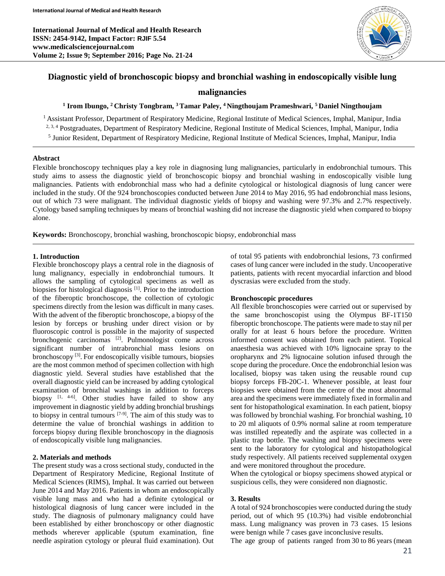**International Journal of Medical and Health Research ISSN: 2454-9142, Impact Factor: RJIF 5.54 www.medicalsciencejournal.com Volume 2; Issue 9; September 2016; Page No. 21-24**



# **Diagnostic yield of bronchoscopic biopsy and bronchial washing in endoscopically visible lung**

# **malignancies**

### **1 Irom Ibungo, <sup>2</sup>Christy Tongbram, <sup>3</sup>Tamar Paley, <sup>4</sup>Ningthoujam Prameshwari, <sup>5</sup> Daniel Ningthoujam**

<sup>1</sup> Assistant Professor, Department of Respiratory Medicine, Regional Institute of Medical Sciences, Imphal, Manipur, India <sup>2, 3, 4</sup> Postgraduates, Department of Respiratory Medicine, Regional Institute of Medical Sciences, Imphal, Manipur, India 5 Junior Resident, Department of Respiratory Medicine, Regional Institute of Medical Sciences, Imphal, Manipur, India

### **Abstract**

Flexible bronchoscopy techniques play a key role in diagnosing lung malignancies, particularly in endobronchial tumours. This study aims to assess the diagnostic yield of bronchoscopic biopsy and bronchial washing in endoscopically visible lung malignancies. Patients with endobronchial mass who had a definite cytological or histological diagnosis of lung cancer were included in the study. Of the 924 bronchoscopies conducted between June 2014 to May 2016, 95 had endobronchial mass lesions, out of which 73 were malignant. The individual diagnostic yields of biopsy and washing were 97.3% and 2.7% respectively. Cytology based sampling techniques by means of bronchial washing did not increase the diagnostic yield when compared to biopsy alone.

**Keywords:** Bronchoscopy, bronchial washing, bronchoscopic biopsy, endobronchial mass

### **1. Introduction**

Flexible bronchoscopy plays a central role in the diagnosis of lung malignancy, especially in endobronchial tumours. It allows the sampling of cytological specimens as well as biopsies for histological diagnosis [1]. Prior to the introduction of the fiberoptic bronchoscope, the collection of cytologic specimens directly from the lesion was difficult in many cases. With the advent of the fiberoptic bronchoscope, a biopsy of the lesion by forceps or brushing under direct vision or by fluoroscopic control is possible in the majority of suspected bronchogenic carcinomas <sup>[2]</sup>. Pulmonologist come across significant number of intrabronchial mass lesions on bronchoscopy<sup>[3]</sup>. For endoscopically visible tumours, biopsies are the most common method of specimen collection with high diagnostic yield. Several studies have established that the overall diagnostic yield can be increased by adding cytological examination of bronchial washings in addition to forceps biopsy <sup>[1, 4-6]</sup>. Other studies have failed to show any improvement in diagnostic yield by adding bronchial brushings to biopsy in central tumours [7-9]. The aim of this study was to determine the value of bronchial washings in addition to forceps biopsy during flexible bronchoscopy in the diagnosis of endoscopically visible lung malignancies.

# **2. Materials and methods**

The present study was a cross sectional study, conducted in the Department of Respiratory Medicine, Regional Institute of Medical Sciences (RIMS), Imphal. It was carried out between June 2014 and May 2016. Patients in whom an endoscopically visible lung mass and who had a definite cytological or histological diagnosis of lung cancer were included in the study. The diagnosis of pulmonary malignancy could have been established by either bronchoscopy or other diagnostic methods wherever applicable (sputum examination, fine needle aspiration cytology or pleural fluid examination). Out

of total 95 patients with endobronchial lesions, 73 confirmed cases of lung cancer were included in the study. Uncooperative patients, patients with recent myocardial infarction and blood dyscrasias were excluded from the study.

## **Bronchoscopic procedures**

All flexible bronchoscopies were carried out or supervised by the same bronchoscopist using the Olympus BF-1T150 fiberoptic bronchoscope. The patients were made to stay nil per orally for at least 6 hours before the procedure. Written informed consent was obtained from each patient. Topical anaesthesia was achieved with 10% lignocaine spray to the oropharynx and 2% lignocaine solution infused through the scope during the procedure. Once the endobronchial lesion was localised, biopsy was taken using the reusable round cup biopsy forceps FB-20C-1. Whenever possible, at least four biopsies were obtained from the centre of the most abnormal area and the specimens were immediately fixed in formalin and sent for histopathological examination. In each patient, biopsy was followed by bronchial washing. For bronchial washing, 10 to 20 ml aliquots of 0.9% normal saline at room temperature was instilled repeatedly and the aspirate was collected in a plastic trap bottle. The washing and biopsy specimens were sent to the laboratory for cytological and histopathological study respectively. All patients received supplemental oxygen and were monitored throughout the procedure.

When the cytological or biopsy specimens showed atypical or suspicious cells, they were considered non diagnostic.

## **3. Results**

A total of 924 bronchoscopies were conducted during the study period, out of which 95 (10.3%) had visible endobronchial mass. Lung malignancy was proven in 73 cases. 15 lesions were benign while 7 cases gave inconclusive results.

The age group of patients ranged from 30 to 86 years (mean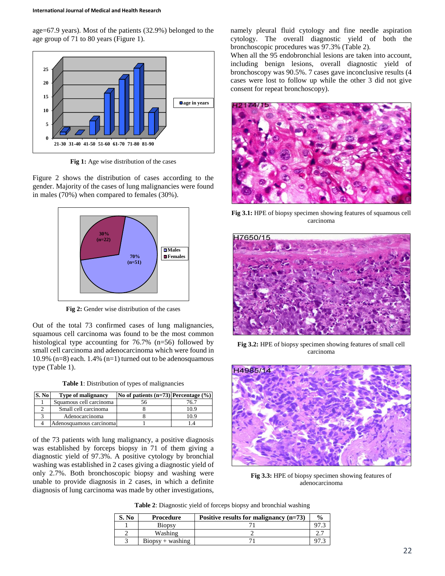age=67.9 years). Most of the patients (32.9%) belonged to the age group of 71 to 80 years (Figure 1).



**Fig 1:** Age wise distribution of the cases

Figure 2 shows the distribution of cases according to the gender. Majority of the cases of lung malignancies were found in males (70%) when compared to females (30%).



**Fig 2:** Gender wise distribution of the cases

Out of the total 73 confirmed cases of lung malignancies, squamous cell carcinoma was found to be the most common histological type accounting for 76.7% (n=56) followed by small cell carcinoma and adenocarcinoma which were found in 10.9% (n=8) each. 1.4% (n=1) turned out to be adenosquamous type (Table 1).

**Table 1**: Distribution of types of malignancies

| S. No | <b>Type of malignancy</b> | No of patients $(n=73)$ Percentage $(\%)$ |      |
|-------|---------------------------|-------------------------------------------|------|
|       | Squamous cell carcinoma   | 56                                        | 76.7 |
|       | Small cell carcinoma      |                                           | 10.9 |
|       | Adenocarcinoma            |                                           | 10.9 |
|       | Adenosquamous carcinoma   |                                           |      |

of the 73 patients with lung malignancy, a positive diagnosis was established by forceps biopsy in 71 of them giving a diagnostic yield of 97.3%. A positive cytology by bronchial washing was established in 2 cases giving a diagnostic yield of only 2.7%. Both bronchoscopic biopsy and washing were unable to provide diagnosis in 2 cases, in which a definite diagnosis of lung carcinoma was made by other investigations,

namely pleural fluid cytology and fine needle aspiration cytology. The overall diagnostic yield of both the bronchoscopic procedures was 97.3% (Table 2).

When all the 95 endobronchial lesions are taken into account, including benign lesions, overall diagnostic yield of bronchoscopy was 90.5%. 7 cases gave inconclusive results (4 cases were lost to follow up while the other 3 did not give consent for repeat bronchoscopy).



**Fig 3.1:** HPE of biopsy specimen showing features of squamous cell carcinoma



**Fig 3.2:** HPE of biopsy specimen showing features of small cell carcinoma



**Fig 3.3:** HPE of biopsy specimen showing features of adenocarcinoma

**Table 2**: Diagnostic yield of forceps biopsy and bronchial washing

| S. No | Procedure                        | Positive results for malignancy $(n=73)$ | $\frac{0}{0}$ |
|-------|----------------------------------|------------------------------------------|---------------|
|       | <b>Biopsy</b>                    |                                          |               |
|       | Washing                          |                                          |               |
|       | $\text{Biopsy} + \text{washing}$ |                                          |               |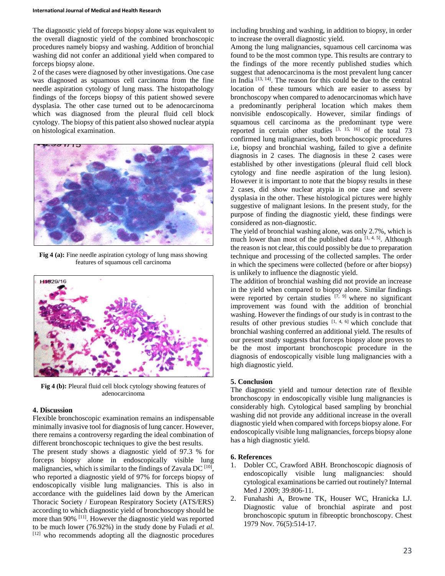The diagnostic yield of forceps biopsy alone was equivalent to the overall diagnostic yield of the combined bronchoscopic procedures namely biopsy and washing. Addition of bronchial washing did not confer an additional yield when compared to forceps biopsy alone.

2 of the cases were diagnosed by other investigations. One case was diagnosed as squamous cell carcinoma from the fine needle aspiration cytology of lung mass. The histopathology findings of the forceps biopsy of this patient showed severe dysplasia. The other case turned out to be adenocarcinoma which was diagnosed from the pleural fluid cell block cytology. The biopsy of this patient also showed nuclear atypia on histological examination.



**Fig 4 (a):** Fine needle aspiration cytology of lung mass showing features of squamous cell carcinoma



**Fig 4 (b):** Pleural fluid cell block cytology showing features of adenocarcinoma

#### **4. Discussion**

Flexible bronchoscopic examination remains an indispensable minimally invasive tool for diagnosis of lung cancer. However, there remains a controversy regarding the ideal combination of different bronchoscopic techniques to give the best results.

The present study shows a diagnostic yield of 97.3 % for forceps biopsy alone in endoscopically visible lung malignancies, which is similar to the findings of Zavala DC  $[10]$ , who reported a diagnostic yield of 97% for forceps biopsy of endoscopically visible lung malignancies. This is also in accordance with the guidelines laid down by the American Thoracic Society / European Respiratory Society (ATS/ERS) according to which diagnostic yield of bronchoscopy should be more than 90% <sup>[11]</sup>. However the diagnostic yield was reported to be much lower (76.92%) in the study done by Fuladi *et al.* [12] who recommends adopting all the diagnostic procedures

including brushing and washing, in addition to biopsy, in order to increase the overall diagnostic yield.

Among the lung malignancies, squamous cell carcinoma was found to be the most common type. This results are contrary to the findings of the more recently published studies which suggest that adenocarcinoma is the most prevalent lung cancer in India [13, 14]. The reason for this could be due to the central location of these tumours which are easier to assess by bronchoscopy when compared to adenocarcinomas which have a predominantly peripheral location which makes them nonvisible endoscopically. However, similar findings of squamous cell carcinoma as the predominant type were reported in certain other studies  $[3, 15, 16]$  of the total 73 confirmed lung malignancies, both bronchoscopic procedures i.e, biopsy and bronchial washing, failed to give a definite diagnosis in 2 cases. The diagnosis in these 2 cases were established by other investigations (pleural fluid cell block cytology and fine needle aspiration of the lung lesion). However it is important to note that the biopsy results in these 2 cases, did show nuclear atypia in one case and severe dysplasia in the other. These histological pictures were highly suggestive of malignant lesions. In the present study, for the purpose of finding the diagnostic yield, these findings were considered as non-diagnostic.

The yield of bronchial washing alone, was only 2.7%, which is much lower than most of the published data  $[1, 4, 5]$ . Although the reason is not clear, this could possibly be due to preparation technique and processing of the collected samples. The order in which the specimens were collected (before or after biopsy) is unlikely to influence the diagnostic yield.

The addition of bronchial washing did not provide an increase in the yield when compared to biopsy alone. Similar findings were reported by certain studies  $[7, 9]$  where no significant improvement was found with the addition of bronchial washing. However the findings of our study is in contrast to the results of other previous studies [1, 4, 6] which conclude that bronchial washing conferred an additional yield. The results of our present study suggests that forceps biopsy alone proves to be the most important bronchoscopic procedure in the diagnosis of endoscopically visible lung malignancies with a high diagnostic yield.

#### **5. Conclusion**

The diagnostic yield and tumour detection rate of flexible bronchoscopy in endoscopically visible lung malignancies is considerably high. Cytological based sampling by bronchial washing did not provide any additional increase in the overall diagnostic yield when compared with forceps biopsy alone. For endoscopically visible lung malignancies, forceps biopsy alone has a high diagnostic yield.

#### **6. References**

- 1. Dobler CC, Crawford ABH. Bronchoscopic diagnosis of endoscopically visible lung malignancies: should cytological examinations be carried out routinely? Internal Med J 2009; 39:806-11.
- 2. Funahashi A, Browne TK, Houser WC, Hranicka LJ. Diagnostic value of bronchial aspirate and post bronchoscopic sputum in fibreoptic bronchoscopy. Chest 1979 Nov. 76(5):514-17.